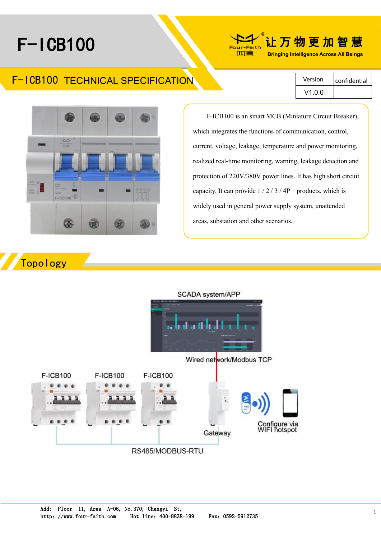# F-ICB100



# F-ICB100 TECHNICAL SPECIFICATION

Version  $\vert$  confidential V1.0.0



widely used in general power supply system, unattended F-ICB100 is an smart MCB (Miniature Circuit Breaker), which integrates the functions of communication, control, current, voltage, leakage, temperature and power monitoring, realized real-time monitoring, warning, leakage detection and protection of 220V/380V power lines. It has high short circuit capacity. It can provide  $1/2/3/4P$  products, which is areas, substation and other scenarios.

# Topology

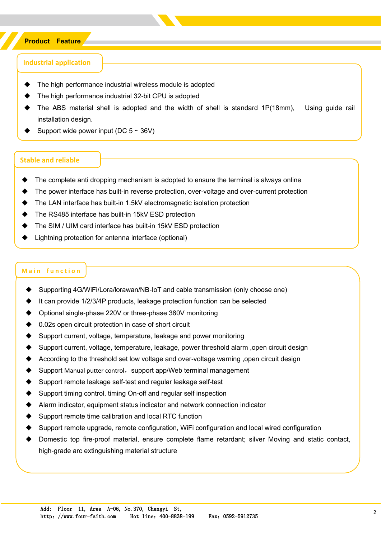#### **Product Feature**

#### **Industrial application**

- The high performance industrial wireless module is adopted
- The high performance industrial 32-bit CPU is adopted
- The ABS material shell is adopted and the width of shell is standard 1P(18mm), Using guide rail installation design.
- Support wide power input (DC  $5 \sim 36V$ )

#### **Stable and reliable**

- The complete anti dropping mechanism is adopted to ensure the terminal is always online
- The power interface has built-in reverse protection, over-voltage and over-current protection
- The LAN interface has built-in 1.5kV electromagnetic isolation protection
- The RS485 interface has built-in 15kV ESD protection
- The SIM / UIM card interface has built-in 15kV ESD protection
- Lightning protection for antenna interface (optional)

#### **Main function**

- Supporting 4G/WiFi/Lora/lorawan/NB-IoT and cable transmission (only choose one)
- It can provide 1/2/3/4P products, leakage protection function can be selected
- Optional single-phase 220V or three-phase 380V monitoring
- 0.02s open circuit protection in case of short circuit
- Support current, voltage, temperature, leakage and power monitoring
- Support current, voltage, temperature, leakage, power threshold alarm , open circuit design
- According to the threshold set low voltage and over-voltage warning , open circuit design
- Support Manual putter control, support app/Web terminal management
- Support remote leakage self-test and regular leakage self-test
- Support timing control, timing On-off and regular self inspection
- Alarm indicator, equipment status indicator and network connection indicator
- Support remote time calibration and local RTC function
- Support remote upgrade, remote configuration, WiFi configuration and local wired configuration
- Domestic top fire-proof material, ensure complete flame retardant; silver Moving and static contact, high-grade arc extinguishing material structure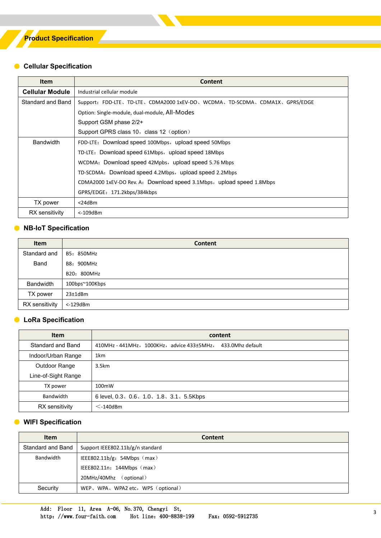#### ● **Cellular Specification**

| <b>Item</b>            | <b>Content</b>                                                           |  |  |  |  |  |
|------------------------|--------------------------------------------------------------------------|--|--|--|--|--|
| <b>Cellular Module</b> | Industrial cellular module                                               |  |  |  |  |  |
| Standard and Band      | Support: FDD-LTE、TD-LTE、CDMA2000 1xEV-DO、WCDMA、TD-SCDMA、CDMA1X、GPRS/EDGE |  |  |  |  |  |
|                        | Option: Single-module, dual-module, All-Modes                            |  |  |  |  |  |
|                        | Support GSM phase 2/2+                                                   |  |  |  |  |  |
|                        | Support GPRS class 10, class 12 (option)                                 |  |  |  |  |  |
| <b>Bandwidth</b>       | FDD-LTE: Download speed 100Mbps, upload speed 50Mbps                     |  |  |  |  |  |
|                        | TD-LTE: Download speed 61Mbps, upload speed 18Mbps                       |  |  |  |  |  |
|                        | WCDMA: Download speed 42Mpbs, upload speed 5.76 Mbps                     |  |  |  |  |  |
|                        | TD-SCDMA: Download speed 4.2Mbps, upload speed 2.2Mbps                   |  |  |  |  |  |
|                        | CDMA2000 1xEV-DO Rev. A: Download speed 3.1Mbps, upload speed 1.8Mbps    |  |  |  |  |  |
|                        | GPRS/EDGE: 171.2kbps/384kbps                                             |  |  |  |  |  |
| TX power               | $<$ 24dBm                                                                |  |  |  |  |  |
| RX sensitivity         | <-109dBm                                                                 |  |  |  |  |  |

#### ● **NB-IoT Specification**

| <b>Item</b>      | <b>Content</b> |
|------------------|----------------|
| Standard and     | B5: 850MHz     |
| Band             | B8: 900MHz     |
|                  | B20: 800MHz    |
| <b>Bandwidth</b> | 100bps~100Kbps |
| TX power         | $23 \pm 1$ dBm |
| RX sensitivity   | $<$ -129 $dBm$ |

#### ● **LoRa Specification**

| <b>Item</b>         | content                                                                      |  |  |
|---------------------|------------------------------------------------------------------------------|--|--|
| Standard and Band   | 433.0Mhz default<br>$410$ MHz - $441$ MHz, $1000$ KHz, advice $433\pm5$ MHz, |  |  |
| Indoor/Urban Range  | 1 <sub>km</sub>                                                              |  |  |
| Outdoor Range       | 3.5km                                                                        |  |  |
| Line-of-Sight Range |                                                                              |  |  |
| TX power            | 100mW                                                                        |  |  |
| Bandwidth           | 6 level, 0.3, 0.6, 1.0, 1.8, 3.1, 5.5Kbps                                    |  |  |
| RX sensitivity      | $\leq$ -140dBm                                                               |  |  |

#### ● **WIFI Specification**

| <b>Item</b>       | Content                            |  |  |
|-------------------|------------------------------------|--|--|
| Standard and Band | Support IEEE802.11b/g/n standard   |  |  |
| Bandwidth         | IEEE802.11b/g: 54Mbps $(max)$      |  |  |
|                   | IEEE802.11 $n: 144Mbps$ (max)      |  |  |
|                   | 20MHz/40Mhz (optional)             |  |  |
| Security          | WEP, WPA, WPA2 etc, WPS (optional) |  |  |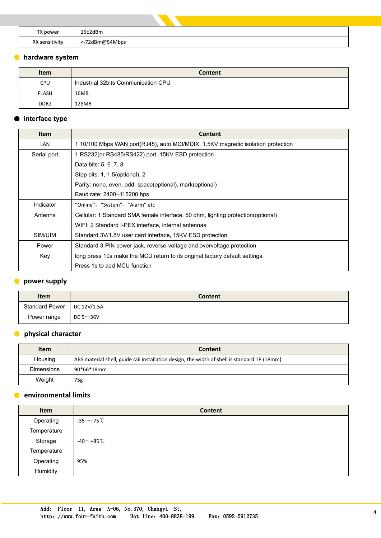| TX power       | $15\pm2$ dBm   |
|----------------|----------------|
| RX sensitivity | <-72dBm@54Mbps |

#### ● **hardware system**

| <b>Item</b>      | Content                             |  |  |  |
|------------------|-------------------------------------|--|--|--|
| <b>CPU</b>       | Industrial 32bits Communication CPU |  |  |  |
| FLASH            | 16MB                                |  |  |  |
| DDR <sub>2</sub> | 128MB                               |  |  |  |

# ● **interface type**

| <b>Item</b> | <b>Content</b>                                                                   |  |  |  |  |
|-------------|----------------------------------------------------------------------------------|--|--|--|--|
| LAN         | 1 10/100 Mbps WAN port(RJ45), auto MDI/MDIX, 1.5KV magnetic isolation protection |  |  |  |  |
| Serial port | 1 RS232 (or RS485/RS422) port, 15KV ESD protection                               |  |  |  |  |
|             | Data bits: 5, 6, 7, 8                                                            |  |  |  |  |
|             | Stop bits: 1, 1.5 (optional), 2                                                  |  |  |  |  |
|             | Parity: none, even, odd, space(optional), mark(optional)                         |  |  |  |  |
|             | Baud rate: 2400~115200 bps                                                       |  |  |  |  |
| Indicator   | "Online"、"System"、"Alarm" etc                                                    |  |  |  |  |
| Antenna     | Cellular: 1 Standard SMA female interface, 50 ohm, lighting protection(optional) |  |  |  |  |
|             | WIFI: 2 Standard I-PEX interface, internal antennas                              |  |  |  |  |
| SIM/UIM     | Standard 3V/1.8V user card interface, 15KV ESD protection                        |  |  |  |  |
| Power       | Standard 3-PIN power jack, reverse-voltage and overvoltage protection            |  |  |  |  |
| Key         | long press 10s make the MCU return to its original factory default settings.     |  |  |  |  |
|             | Press 1s to add MCU function                                                     |  |  |  |  |

# ● **power supply**

| <b>Item</b>                  | <b>Content</b>  |
|------------------------------|-----------------|
| Standard Power   DC 12V/1.5A |                 |
| Power range                  | DC 5 $\sim$ 36V |

### ● **physical character**

| <b>Item</b>       | Content                                                                                      |  |  |  |  |  |
|-------------------|----------------------------------------------------------------------------------------------|--|--|--|--|--|
| Housing           | ABS material shell, guide rail installation design, the width of shell is standard 1P (18mm) |  |  |  |  |  |
| <b>Dimensions</b> | 90*66*18mm                                                                                   |  |  |  |  |  |
| Weight            | 75g                                                                                          |  |  |  |  |  |

## ● **environmental limits**

| Item        | Content                     |
|-------------|-----------------------------|
| Operating   | -35 $\sim$ +75 $\degree$ C  |
| Temperature |                             |
| Storage     | -40 $\sim$ +85 $^{\circ}$ C |
| Temperature |                             |
| Operating   | 95%                         |
| Humidity    |                             |